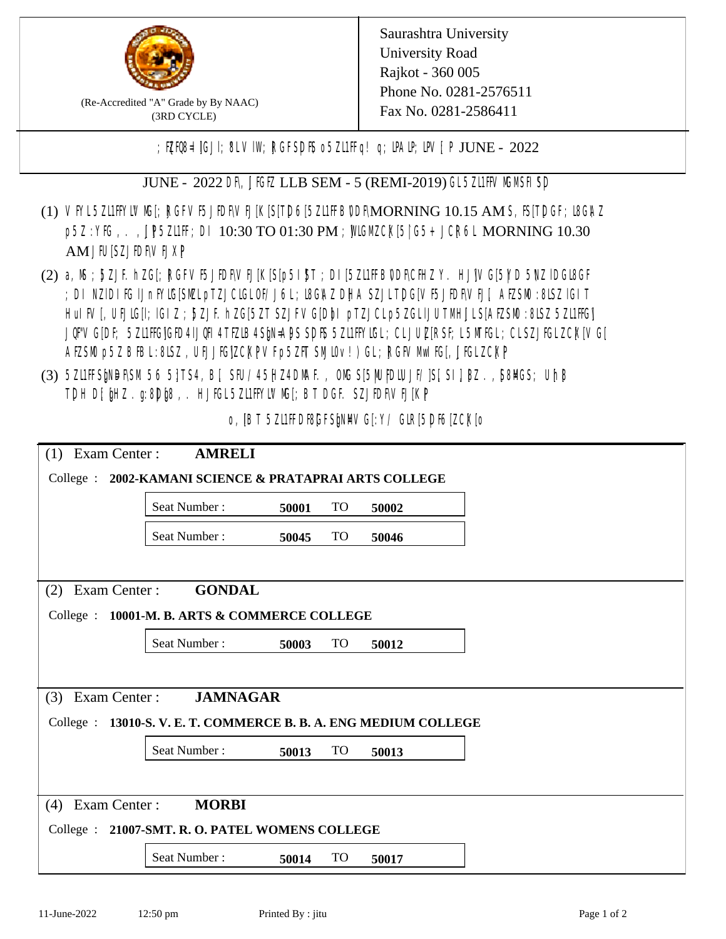

(Re-Accredited "A" Grade by By NAAC) (3RD CYCLE)

; PERB= IGJI; 8L VIW; RGFSDIS o 5ZL1 Fig! q; DAIP; DV[; P JUNE - 2022

JUNE - 2022 DR, JIGIZ LLB SEM - 5 (REMI-2019) GL 5ZLIFIVM MSH SD

- (1) VFYL5Z11FFYLVMC[; RGFVF5JEDF\VEJ[K[S[T]D6[5Z11FFB0DF\MORNING 10.15 AM S, IS[T]DGF; I8G\AZ p5Z : YIG, . , UP5ZILIF; DI 10:30 TO 01:30 PM ; MIGM CX[5| G5+ JCR6L MORNING 10.30 AM JIUSZJIDRVEJXP
- (2) a, M ; BZJE hZG[; RGFVE5JIDF\VEJ[K[S[p5I]\$T ; DI[5ZI1IFB\DDF\CHIZ Y. HJ]\VG[5|YD 5\VZ lDGI8GF ; DI NZIDI K; IJnFYIG[SMLpTZJCIGLOF/J6L; I8GAZ DHA SZJLTDG[VF5JEDF\VEJ[, AEZSM0 :8LSZ IGIT HuIFV[, UEJG[]; IGIZ ; 5ZJF. hZG[5ZT SZJFVG[DbI pTZJCLp5ZGLIJUTMHJLS[AEZSM0 :8LSZ 5Z11HG] JQFVG[DF; 5Z11HG]GED4 LJQHI4 TEZIB4 SEN= APS SDFS 5Z11 HYNGL; CL JUL [RSF; L 5MTGL; CL SZJFGL ZCK[ VG[ AESM p5Z BBL:8LSZ, UEJJG|ZCKPVFp5ZFT SMIOv!) GL; RGFVM EG[, JJGLZCKP
- (3) 5ZUFFS&NDF\SM.56 5}TS4, B[, SFU/45HZ4D\MAF., OMS[5|NU|PDIUJF/]S[ SI], [8Z.,[S8]ACS; Uh[8 TDH D[ $jHZ$ .g:8D $jg$ ,. HJ $KL$ 5ZL1FFYLVMS[;BT DGF. SZJEDFIVEJ[KP]

o, IBT 5Z11FDBGFSMM/G[:Y/ GIR[5DF6[ZCK]0

| Exam Center :<br><b>AMRELI</b><br>(1)                       |              |       |           |       |  |  |  |
|-------------------------------------------------------------|--------------|-------|-----------|-------|--|--|--|
| College : 2002-KAMANI SCIENCE & PRATAPRAI ARTS COLLEGE      |              |       |           |       |  |  |  |
|                                                             | Seat Number: | 50001 | <b>TO</b> | 50002 |  |  |  |
|                                                             | Seat Number: | 50045 | <b>TO</b> | 50046 |  |  |  |
|                                                             |              |       |           |       |  |  |  |
| Exam Center:<br><b>GONDAL</b><br>(2)                        |              |       |           |       |  |  |  |
| College : 10001-M. B. ARTS & COMMERCE COLLEGE               |              |       |           |       |  |  |  |
|                                                             | Seat Number: | 50003 | <b>TO</b> | 50012 |  |  |  |
|                                                             |              |       |           |       |  |  |  |
| <b>JAMNAGAR</b><br>Exam Center :<br>(3)                     |              |       |           |       |  |  |  |
| College : 13010-S.V.E.T. COMMERCE B.B.A. ENG MEDIUM COLLEGE |              |       |           |       |  |  |  |
|                                                             | Seat Number: | 50013 | <b>TO</b> | 50013 |  |  |  |
|                                                             |              |       |           |       |  |  |  |
| Exam Center:<br><b>MORBI</b><br>(4)                         |              |       |           |       |  |  |  |
| College : 21007-SMT. R. O. PATEL WOMENS COLLEGE             |              |       |           |       |  |  |  |
|                                                             | Seat Number: | 50014 | <b>TO</b> | 50017 |  |  |  |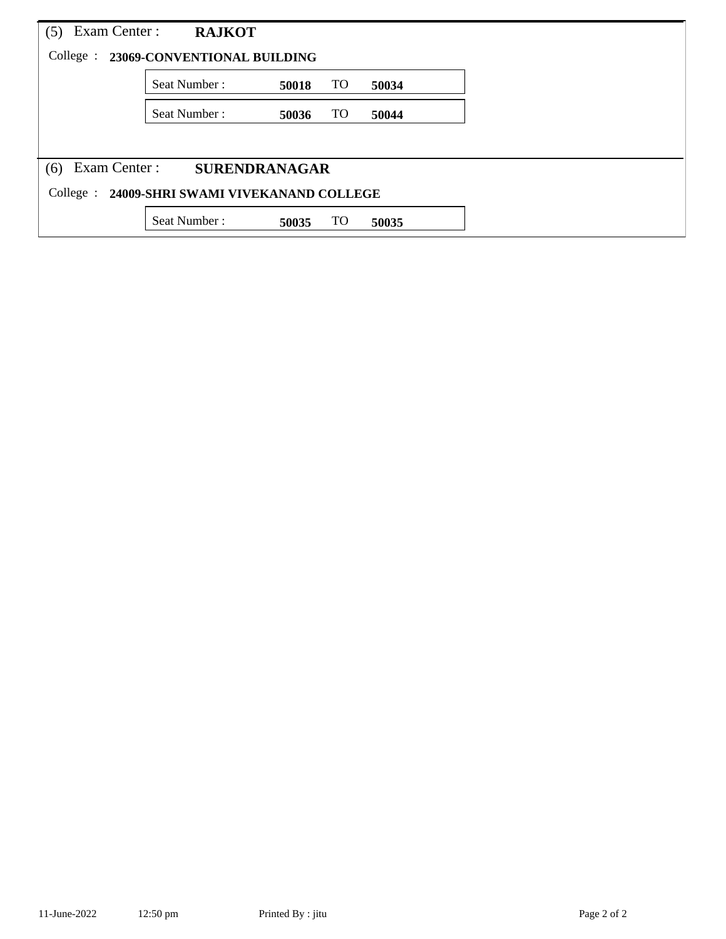| Exam Center :<br>(5)                             | <b>RAJKOT</b>                         |       |           |       |  |  |  |
|--------------------------------------------------|---------------------------------------|-------|-----------|-------|--|--|--|
|                                                  | College : 23069-CONVENTIONAL BUILDING |       |           |       |  |  |  |
|                                                  | Seat Number:                          | 50018 | TO        | 50034 |  |  |  |
|                                                  | Seat Number:                          | 50036 | <b>TO</b> | 50044 |  |  |  |
|                                                  |                                       |       |           |       |  |  |  |
| Exam Center :<br>(6)                             | <b>SURENDRANAGAR</b>                  |       |           |       |  |  |  |
| College :<br>24009-SHRI SWAMI VIVEKANAND COLLEGE |                                       |       |           |       |  |  |  |
|                                                  | Seat Number:                          | 50035 | TO        | 50035 |  |  |  |